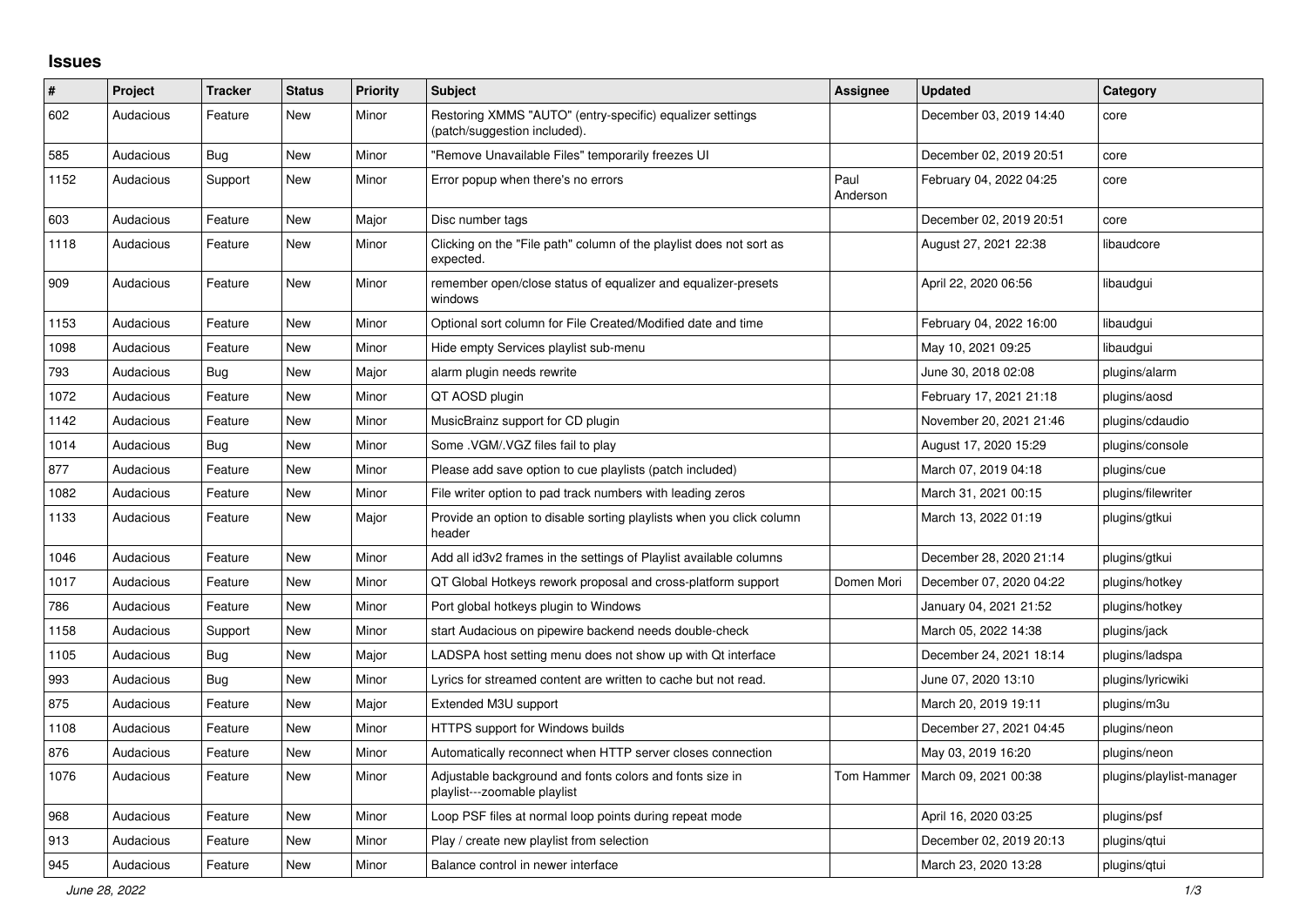## **Issues**

| $\#$ | Project   | <b>Tracker</b> | <b>Status</b> | <b>Priority</b> | <b>Subject</b>                                                                            | <b>Assignee</b>  | <b>Updated</b>          | Category                 |
|------|-----------|----------------|---------------|-----------------|-------------------------------------------------------------------------------------------|------------------|-------------------------|--------------------------|
| 602  | Audacious | Feature        | <b>New</b>    | Minor           | Restoring XMMS "AUTO" (entry-specific) equalizer settings<br>(patch/suggestion included). |                  | December 03, 2019 14:40 | core                     |
| 585  | Audacious | Bug            | <b>New</b>    | Minor           | "Remove Unavailable Files" temporarily freezes UI                                         |                  | December 02, 2019 20:51 | core                     |
| 1152 | Audacious | Support        | New           | Minor           | Error popup when there's no errors                                                        | Paul<br>Anderson | February 04, 2022 04:25 | core                     |
| 603  | Audacious | Feature        | <b>New</b>    | Major           | Disc number tags                                                                          |                  | December 02, 2019 20:51 | core                     |
| 1118 | Audacious | Feature        | <b>New</b>    | Minor           | Clicking on the "File path" column of the playlist does not sort as<br>expected.          |                  | August 27, 2021 22:38   | libaudcore               |
| 909  | Audacious | Feature        | <b>New</b>    | Minor           | remember open/close status of equalizer and equalizer-presets<br>windows                  |                  | April 22, 2020 06:56    | libaudgui                |
| 1153 | Audacious | Feature        | <b>New</b>    | Minor           | Optional sort column for File Created/Modified date and time                              |                  | February 04, 2022 16:00 | libaudgui                |
| 1098 | Audacious | Feature        | <b>New</b>    | Minor           | Hide empty Services playlist sub-menu                                                     |                  | May 10, 2021 09:25      | libaudgui                |
| 793  | Audacious | <b>Bug</b>     | <b>New</b>    | Major           | alarm plugin needs rewrite                                                                |                  | June 30, 2018 02:08     | plugins/alarm            |
| 1072 | Audacious | Feature        | New           | Minor           | QT AOSD plugin                                                                            |                  | February 17, 2021 21:18 | plugins/aosd             |
| 1142 | Audacious | Feature        | <b>New</b>    | Minor           | MusicBrainz support for CD plugin                                                         |                  | November 20, 2021 21:46 | plugins/cdaudio          |
| 1014 | Audacious | Bug            | New           | Minor           | Some .VGM/.VGZ files fail to play                                                         |                  | August 17, 2020 15:29   | plugins/console          |
| 877  | Audacious | Feature        | <b>New</b>    | Minor           | Please add save option to cue playlists (patch included)                                  |                  | March 07, 2019 04:18    | plugins/cue              |
| 1082 | Audacious | Feature        | <b>New</b>    | Minor           | File writer option to pad track numbers with leading zeros                                |                  | March 31, 2021 00:15    | plugins/filewriter       |
| 1133 | Audacious | Feature        | New           | Major           | Provide an option to disable sorting playlists when you click column<br>header            |                  | March 13, 2022 01:19    | plugins/gtkui            |
| 1046 | Audacious | Feature        | <b>New</b>    | Minor           | Add all id3v2 frames in the settings of Playlist available columns                        |                  | December 28, 2020 21:14 | plugins/gtkui            |
| 1017 | Audacious | Feature        | New           | Minor           | QT Global Hotkeys rework proposal and cross-platform support                              | Domen Mori       | December 07, 2020 04:22 | plugins/hotkey           |
| 786  | Audacious | Feature        | <b>New</b>    | Minor           | Port global hotkeys plugin to Windows                                                     |                  | January 04, 2021 21:52  | plugins/hotkey           |
| 1158 | Audacious | Support        | <b>New</b>    | Minor           | start Audacious on pipewire backend needs double-check                                    |                  | March 05, 2022 14:38    | plugins/jack             |
| 1105 | Audacious | Bug            | <b>New</b>    | Major           | LADSPA host setting menu does not show up with Qt interface                               |                  | December 24, 2021 18:14 | plugins/ladspa           |
| 993  | Audacious | <b>Bug</b>     | New           | Minor           | Lyrics for streamed content are written to cache but not read.                            |                  | June 07, 2020 13:10     | plugins/lyricwiki        |
| 875  | Audacious | Feature        | New           | Major           | Extended M3U support                                                                      |                  | March 20, 2019 19:11    | plugins/m3u              |
| 1108 | Audacious | Feature        | New           | Minor           | HTTPS support for Windows builds                                                          |                  | December 27, 2021 04:45 | plugins/neon             |
| 876  | Audacious | Feature        | <b>New</b>    | Minor           | Automatically reconnect when HTTP server closes connection                                |                  | May 03, 2019 16:20      | plugins/neon             |
| 1076 | Audacious | Feature        | <b>New</b>    | Minor           | Adjustable background and fonts colors and fonts size in<br>playlist---zoomable playlist  | Tom Hammer       | March 09, 2021 00:38    | plugins/playlist-manager |
| 968  | Audacious | Feature        | New           | Minor           | Loop PSF files at normal loop points during repeat mode                                   |                  | April 16, 2020 03:25    | plugins/psf              |
| 913  | Audacious | Feature        | <b>New</b>    | Minor           | Play / create new playlist from selection                                                 |                  | December 02, 2019 20:13 | plugins/gtui             |
| 945  | Audacious | Feature        | New           | Minor           | Balance control in newer interface                                                        |                  | March 23, 2020 13:28    | plugins/qtui             |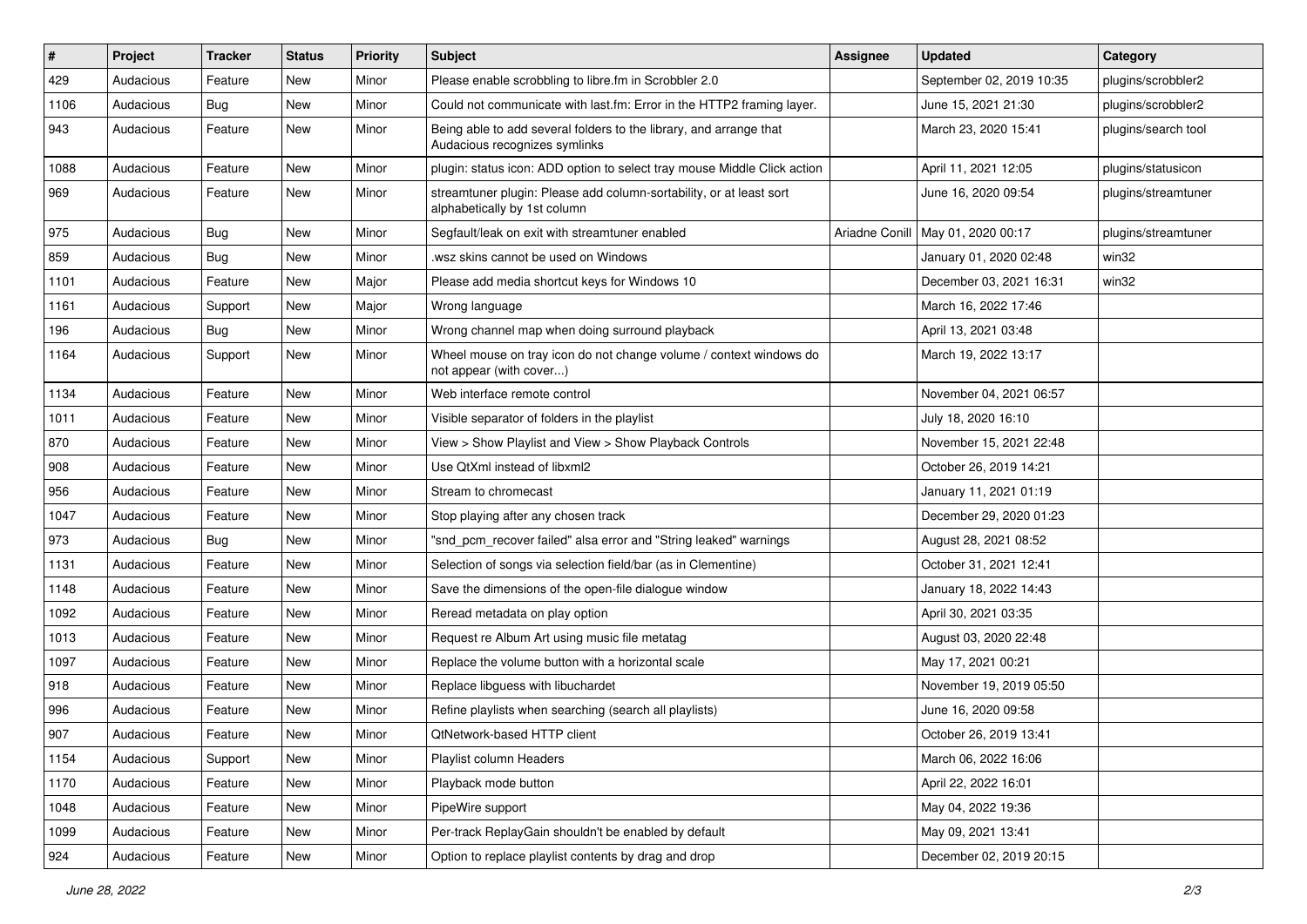| $\#$ | Project   | <b>Tracker</b> | <b>Status</b> | <b>Priority</b> | Subject                                                                                             | <b>Assignee</b> | <b>Updated</b>           | Category            |
|------|-----------|----------------|---------------|-----------------|-----------------------------------------------------------------------------------------------------|-----------------|--------------------------|---------------------|
| 429  | Audacious | Feature        | New           | Minor           | Please enable scrobbling to libre.fm in Scrobbler 2.0                                               |                 | September 02, 2019 10:35 | plugins/scrobbler2  |
| 1106 | Audacious | Bug            | New           | Minor           | Could not communicate with last.fm: Error in the HTTP2 framing layer.                               |                 | June 15, 2021 21:30      | plugins/scrobbler2  |
| 943  | Audacious | Feature        | New           | Minor           | Being able to add several folders to the library, and arrange that<br>Audacious recognizes symlinks |                 | March 23, 2020 15:41     | plugins/search tool |
| 1088 | Audacious | Feature        | <b>New</b>    | Minor           | plugin: status icon: ADD option to select tray mouse Middle Click action                            |                 | April 11, 2021 12:05     | plugins/statusicon  |
| 969  | Audacious | Feature        | New           | Minor           | streamtuner plugin: Please add column-sortability, or at least sort<br>alphabetically by 1st column |                 | June 16, 2020 09:54      | plugins/streamtuner |
| 975  | Audacious | <b>Bug</b>     | New           | Minor           | Segfault/leak on exit with streamtuner enabled                                                      | Ariadne Conill  | May 01, 2020 00:17       | plugins/streamtuner |
| 859  | Audacious | <b>Bug</b>     | New           | Minor           | wsz skins cannot be used on Windows                                                                 |                 | January 01, 2020 02:48   | win32               |
| 1101 | Audacious | Feature        | <b>New</b>    | Major           | Please add media shortcut keys for Windows 10                                                       |                 | December 03, 2021 16:31  | win32               |
| 1161 | Audacious | Support        | New           | Major           | Wrong language                                                                                      |                 | March 16, 2022 17:46     |                     |
| 196  | Audacious | <b>Bug</b>     | New           | Minor           | Wrong channel map when doing surround playback                                                      |                 | April 13, 2021 03:48     |                     |
| 1164 | Audacious | Support        | New           | Minor           | Wheel mouse on tray icon do not change volume / context windows do<br>not appear (with cover)       |                 | March 19, 2022 13:17     |                     |
| 1134 | Audacious | Feature        | <b>New</b>    | Minor           | Web interface remote control                                                                        |                 | November 04, 2021 06:57  |                     |
| 1011 | Audacious | Feature        | New           | Minor           | Visible separator of folders in the playlist                                                        |                 | July 18, 2020 16:10      |                     |
| 870  | Audacious | Feature        | New           | Minor           | View > Show Playlist and View > Show Playback Controls                                              |                 | November 15, 2021 22:48  |                     |
| 908  | Audacious | Feature        | New           | Minor           | Use QtXml instead of libxml2                                                                        |                 | October 26, 2019 14:21   |                     |
| 956  | Audacious | Feature        | New           | Minor           | Stream to chromecast                                                                                |                 | January 11, 2021 01:19   |                     |
| 1047 | Audacious | Feature        | New           | Minor           | Stop playing after any chosen track                                                                 |                 | December 29, 2020 01:23  |                     |
| 973  | Audacious | <b>Bug</b>     | New           | Minor           | "snd_pcm_recover failed" alsa error and "String leaked" warnings                                    |                 | August 28, 2021 08:52    |                     |
| 1131 | Audacious | Feature        | New           | Minor           | Selection of songs via selection field/bar (as in Clementine)                                       |                 | October 31, 2021 12:41   |                     |
| 1148 | Audacious | Feature        | New           | Minor           | Save the dimensions of the open-file dialogue window                                                |                 | January 18, 2022 14:43   |                     |
| 1092 | Audacious | Feature        | New           | Minor           | Reread metadata on play option                                                                      |                 | April 30, 2021 03:35     |                     |
| 1013 | Audacious | Feature        | New           | Minor           | Request re Album Art using music file metatag                                                       |                 | August 03, 2020 22:48    |                     |
| 1097 | Audacious | Feature        | New           | Minor           | Replace the volume button with a horizontal scale                                                   |                 | May 17, 2021 00:21       |                     |
| 918  | Audacious | Feature        | New           | Minor           | Replace libguess with libuchardet                                                                   |                 | November 19, 2019 05:50  |                     |
| 996  | Audacious | Feature        | <b>New</b>    | Minor           | Refine playlists when searching (search all playlists)                                              |                 | June 16, 2020 09:58      |                     |
| 907  | Audacious | Feature        | New           | Minor           | QtNetwork-based HTTP client                                                                         |                 | October 26, 2019 13:41   |                     |
| 1154 | Audacious | Support        | New           | Minor           | Playlist column Headers                                                                             |                 | March 06, 2022 16:06     |                     |
| 1170 | Audacious | Feature        | New           | Minor           | Playback mode button                                                                                |                 | April 22, 2022 16:01     |                     |
| 1048 | Audacious | Feature        | New           | Minor           | PipeWire support                                                                                    |                 | May 04, 2022 19:36       |                     |
| 1099 | Audacious | Feature        | New           | Minor           | Per-track ReplayGain shouldn't be enabled by default                                                |                 | May 09, 2021 13:41       |                     |
| 924  | Audacious | Feature        | New           | Minor           | Option to replace playlist contents by drag and drop                                                |                 | December 02, 2019 20:15  |                     |